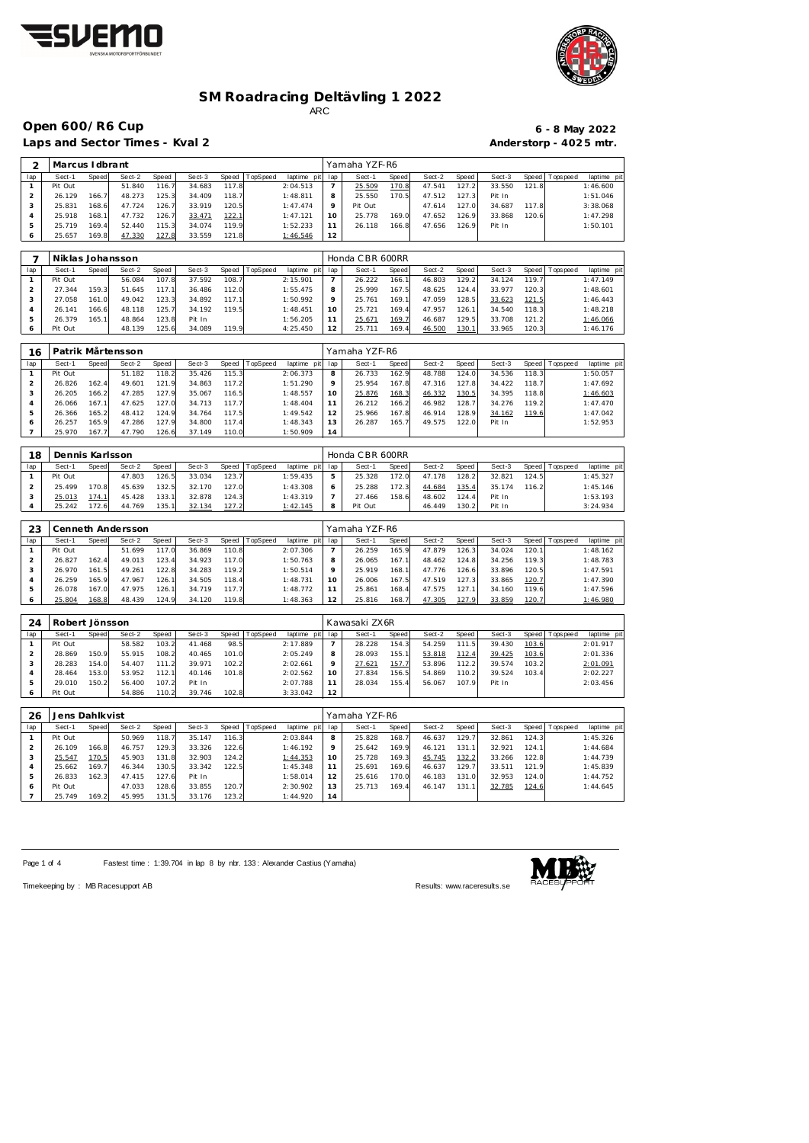



## **Open 600/R6 Cup 6 - 8 May 2022**

Laps and Sector Times - Kval 2 **Anderstorp - 4025 mtr.** 

| 2                        | Marcus I dbrant |       |        |       |        |       |                |             |     | Yamaha YZF-R6 |       |        |       |        |       |                |             |
|--------------------------|-----------------|-------|--------|-------|--------|-------|----------------|-------------|-----|---------------|-------|--------|-------|--------|-------|----------------|-------------|
| lap                      | Sect-1          | Speed | Sect-2 | Speed | Sect-3 |       | Speed TopSpeed | laptime pit | lap | Sect-1        | Speed | Sect-2 | Speed | Sect-3 |       | Speed Topspeed | laptime pit |
|                          | Pit Out         |       | 51.840 | 116.7 | 34.683 | 117.8 |                | 2:04.513    |     | 25.509        | 170.8 | 47.541 | 127.2 | 33.550 | 121.8 |                | 1:46.600    |
|                          | 26.129          | 166.7 | 48.273 | 125.3 | 34.409 | 118.7 |                | 1:48.811    |     | 25.550        | 170.5 | 47.512 | 127.3 | Pit In |       |                | 1:51.046    |
|                          | 25.831          | 168.6 | 47.724 | 126.7 | 33.919 | 120.5 |                | 1:47.474    |     | Pit Out       |       | 47.614 | 127.0 | 34.687 | 117.8 |                | 3:38.068    |
| 4                        | 25.918          | 168.1 | 47.732 | 126.7 | 33.471 | 122.1 |                | 1:47.121    | 10  | 25.778        | 169.0 | 47.652 | 126.9 | 33.868 | 120.6 |                | 1:47.298    |
|                          | 25.719          | 169.4 | 52.440 | 115.3 | 34.074 | 119.9 |                | 1:52.233    |     | 26.118        | 166.8 | 47.656 | 126.9 | Pit In |       |                | 1:50.101    |
| <sup>6</sup>             | 25.657          | 169.8 | 47.330 | 127.8 | 33.559 | 121.8 |                | 1:46.546    | 12  |               |       |        |       |        |       |                |             |
|                          |                 |       |        |       |        |       |                |             |     |               |       |        |       |        |       |                |             |
| $\overline{\phantom{a}}$ | $\blacksquare$  |       |        |       |        |       |                |             |     | $L = 20$      |       |        |       |        |       |                |             |

|     | Niklas Johansson |       |        |       |        |       |          |                 |    | Honda CBR 600RR |       |        |        |        |         |            |             |
|-----|------------------|-------|--------|-------|--------|-------|----------|-----------------|----|-----------------|-------|--------|--------|--------|---------|------------|-------------|
| lap | Sect-1           | Speed | Sect-2 | Speed | Sect-3 | Speed | TopSpeed | laptime pit lap |    | Sect-1          | Speed | Sect-2 | Speed  | Sect-3 | Speed I | T ops peed | laptime pit |
|     | Pit Out          |       | 56.084 | 107.8 | 37.592 | 108.7 |          | 2:15.901        |    | 26.222          | 166.7 | 46.803 | 129.2  | 34.124 | 119.7   |            | 1:47.149    |
|     | 27.344           | 159.3 | 51.645 | 117.1 | 36.486 | 112.0 |          | 1:55.475        |    | 25.999          | 167.5 | 48.625 | 124.4  | 33.977 | 120.3   |            | 1:48.601    |
|     | 27.058           | 161.0 | 49.042 | 123.3 | 34.892 | 117.1 |          | 1:50.992        |    | 25.761          | 169.1 | 47.059 | 128.5  | 33.623 | 121.5   |            | 1:46.443    |
|     | 26.141           | 166.6 | 48.118 | 125.7 | 34.192 | 119.5 |          | 1:48.451        | 10 | 25.721          | 169.4 | 47.957 | 126.1  | 34.540 | 118.3   |            | 1:48.218    |
|     | 26.379           | 165.1 | 48.864 | 123.8 | Pit In |       |          | 1:56.205        |    | 25.671          | 169.7 | 46.687 | 129.51 | 33.708 | 121.2   |            | 1:46.066    |
|     | Pit Out          |       | 48.139 | 125.6 | 34.089 | 119.9 |          | 4:25.450        |    | 25.711          | 169.4 | 46.500 | 130.1  | 33.965 | 120.3   |            | 1:46.176    |

| 16  |         |       | Patrik Mårtensson |       |        |       |          |             |         | Yamaha YZF-R6 |       |        |       |        |       |                |             |
|-----|---------|-------|-------------------|-------|--------|-------|----------|-------------|---------|---------------|-------|--------|-------|--------|-------|----------------|-------------|
| lap | Sect-1  | Speed | Sect-2            | Speed | Sect-3 | Speed | TopSpeed | laptime pit | lap     | Sect-1        | Speed | Sect-2 | Speed | Sect-3 |       | Speed Topspeed | laptime pit |
|     | Pit Out |       | 51.182            | 118.2 | 35.426 | 115.3 |          | 2:06.373    | 8       | 26.733        | 162.9 | 48.788 | 124.0 | 34.536 | 118.3 |                | 1:50.057    |
|     | 26.826  | 162.4 | 49.601            | 121.9 | 34.863 | 117.2 |          | 1:51.290    | $\circ$ | 25.954        | 167.8 | 47.316 | 127.8 | 34.422 | 118.7 |                | 1:47.692    |
|     | 26.205  | 166.2 | 47.285            | 127.9 | 35.067 | 116.5 |          | 1:48.557    | 10      | 25.876        | 168.3 | 46.332 | 130.5 | 34.395 | 118.8 |                | 1:46.603    |
|     | 26.066  | 167.1 | 47.625            | 127.0 | 34.713 | 117.7 |          | 1:48.404    |         | 26.212        | 166.2 | 46.982 | 128.7 | 34.276 | 119.2 |                | 1:47.470    |
|     | 26.366  | 165.2 | 48.412            | 124.9 | 34.764 | 117.5 |          | 1:49.542    |         | 25.966        | 167.8 | 46.914 | 128.9 | 34.162 | 119.6 |                | 1:47.042    |
| 6   | 26.257  | 165.9 | 47.286            | 127.9 | 34.800 | 117.4 |          | 1:48.343    | 3       | 26.287        | 165.7 | 49.575 | 122.0 | Pit In |       |                | 1:52.953    |
|     | 25.970  | 167.7 | 47.790            | 126.6 | 37.149 | 110.0 |          | 1:50.909    | 14      |               |       |        |       |        |       |                |             |

| 18  | Dennis Karlsson |       |        |        |        |       |          |                 |   | Honda CBR 600RR |       |        |              |        |       |                 |             |
|-----|-----------------|-------|--------|--------|--------|-------|----------|-----------------|---|-----------------|-------|--------|--------------|--------|-------|-----------------|-------------|
| lap | Sect-1          | Speed | Sect-2 | Speed  | Sect-3 | Speed | TopSpeed | laptime pit lap |   | Sect-1          | Speed | Sect-2 | Speed        | Sect-3 |       | Speed Tops peed | laptime pit |
|     | Pit Out         |       | 47.803 | 126.5  | 33.034 | 123.7 |          | 1:59.435        | ь | 25.328          | 172.0 | 47.178 | 128.2        | 32.821 | 124.5 |                 | 1:45.327    |
|     | 25.499          | 170.8 | 45.639 | 132.51 | 32.170 | 127.0 |          | 1:43.308        | O | 25.288          | 172.3 | 44.684 | <u>135.4</u> | 35.174 | 116.2 |                 | 1:45.146    |
|     | 25.013          | 174.1 | 45.428 | 133.1  | 32.878 | 124.3 |          | 1:43.319        |   | 27.466          | 158.6 | 48.602 | 124.41       | Pit In |       |                 | 1:53.193    |
|     | 25.242          | 172.6 | 44.769 | 135.1  | 32.134 | 127.2 |          | <u>1:42.145</u> | 8 | Pit Out         |       | 46.449 | 130.2        | Pit In |       |                 | 3:24.934    |

| 23  |         |       | Cenneth Andersson |       |        |       |          |             |     | Yamaha YZF-R6 |       |        |        |        |       |                 |             |
|-----|---------|-------|-------------------|-------|--------|-------|----------|-------------|-----|---------------|-------|--------|--------|--------|-------|-----------------|-------------|
| lap | Sect-1  | Speed | Sect-2            | Speed | Sect-3 | Speed | TopSpeed | laptime pit | lap | Sect-1        | Speed | Sect-2 | Speed  | Sect-3 |       | Speed Tops peed | laptime pit |
|     | Pit Out |       | 51.699            | 117.0 | 36.869 | 110.8 |          | 2:07.306    |     | 26.259        | 165.9 | 47.879 | 126.3  | 34.024 | 120.1 |                 | 1:48.162    |
|     | 26.827  | 162.4 | 49.013            | 123.4 | 34.923 | 117.0 |          | 1:50.763    | 8   | 26.065        | 167.1 | 48.462 | 124.8  | 34.256 | 119.3 |                 | 1:48.783    |
| З   | 26.970  | 161.5 | 49.261            | 122.8 | 34.283 | 119.2 |          | 1:50.514    | Q   | 25.919        | 168.1 | 47.776 | 126.61 | 33.896 | 120.5 |                 | 1:47.591    |
|     | 26.259  | 165.9 | 47.967            | 126.1 | 34.505 | 118.4 |          | 1:48.731    | 10  | 26.006        | 167.5 | 47.519 | 127.3  | 33.865 | 120.7 |                 | 1:47.390    |
| -5  | 26.078  | 167.0 | 47.975            | 126.1 | 34.719 | 117.7 |          | 1:48.772    |     | 25.861        | 168.4 | 47.575 | 127.7  | 34.160 | 119.6 |                 | 1:47.596    |
| 6   | 25.804  | 168.8 | 48.439            | 124.9 | 34.120 | 119.8 |          | 1:48.363    | 12  | 25.816        | 168.7 | 47.305 | 127.9  | 33.859 | 120.7 |                 | 1:46.980    |

| 24  | Robert Jönsson |       |        |       |        |       |          |                 |         | Kawasaki ZX6R |       |        |       |        |       |                 |             |
|-----|----------------|-------|--------|-------|--------|-------|----------|-----------------|---------|---------------|-------|--------|-------|--------|-------|-----------------|-------------|
| lap | Sect-1         | Speed | Sect-2 | Speed | Sect-3 | Speed | TopSpeed | laptime pit lap |         | Sect-1        | Speed | Sect-2 | Speed | Sect-3 |       | Speed Tops peed | laptime pit |
|     | Pit Out        |       | 58.582 | 103.2 | 41.468 | 98.5  |          | 2:17.889        |         | 28.228        | 154.3 | 54.259 | 111.5 | 39.430 | 103.6 |                 | 2:01.917    |
|     | 28.869         | 150.9 | 55.915 | 108.2 | 40.465 | 101.0 |          | 2:05.249        | 8       | 28.093        | 155.1 | 53.818 | 112.4 | 39.425 | 103.6 |                 | 2:01.336    |
|     | 28.283         | 154.0 | 54.407 | 111.2 | 39.971 | 102.2 |          | 2:02.661        | $\circ$ | 27.621        | 157.7 | 53.896 | 112.2 | 39.574 | 103.2 |                 | 2:01.091    |
|     | 28.464         | 153.0 | 53.952 | 112.1 | 40.146 | 101.8 |          | 2:02.562        | 10      | 27.834        | 156.5 | 54.869 | 110.2 | 39.524 | 103.4 |                 | 2:02.227    |
|     | 29.010         | 150.2 | 56.400 | 107.2 | Pit In |       |          | 2:07.788        |         | 28.034        | 155.4 | 56.067 | 107.9 | Pit In |       |                 | 2:03.456    |
|     | Pit Out        |       | 54.886 | 110.2 | 39.746 | 102.8 |          | 3:33.042        | 12      |               |       |        |       |        |       |                 |             |

| 26  | Jens Dahlkvist |       |        |       |        |       |                 |             |     | Yamaha YZF-R6 |       |        |       |        |       |                 |             |
|-----|----------------|-------|--------|-------|--------|-------|-----------------|-------------|-----|---------------|-------|--------|-------|--------|-------|-----------------|-------------|
| lap | Sect-1         | Speed | Sect-2 | Speed | Sect-3 | Speed | <b>TopSpeed</b> | laptime pit | lap | Sect-1        | Speed | Sect-2 | Speed | Sect-3 |       | Speed Tops peed | laptime pit |
|     | Pit Out        |       | 50.969 | 118.7 | 35.147 | 116.3 |                 | 2:03.844    | 8   | 25.828        | 168.7 | 46.637 | 129.7 | 32.861 | 124.3 |                 | 1:45.326    |
|     | 26.109         | 166.8 | 46.757 | 129.3 | 33.326 | 122.6 |                 | 1:46.192    | 9   | 25.642        | 169.9 | 46.121 | 131.1 | 32.921 | 124.1 |                 | 1:44.684    |
| 3   | 25.547         | 170.5 | 45.903 | 131.8 | 32.903 | 124.2 |                 | 1:44.353    | 10  | 25.728        | 169.3 | 45.745 | 132.2 | 33.266 | 122.8 |                 | 1:44.739    |
| 4   | 25.662         | 169.7 | 46.344 | 130.5 | 33.342 | 122.5 |                 | 1:45.348    |     | 25.691        | 169.6 | 46.637 | 129.7 | 33.511 | 121.9 |                 | 1:45.839    |
| 5   | 26.833         | 162.3 | 47.415 | 127.6 | Pit In |       |                 | 1:58.014    | 12  | 25.616        | 170.0 | 46.183 | 131.0 | 32.953 | 124.0 |                 | 1:44.752    |
| 6   | Pit Out        |       | 47.033 | 128.6 | 33.855 | 120.7 |                 | 2:30.902    | 13  | 25.713        | 169.4 | 46.147 | 131.1 | 32.785 | 124.6 |                 | 1:44.645    |
|     | 25.749         | 169.2 | 45.995 | 131.5 | 33.176 | 123.2 |                 | 1:44.920    | 14  |               |       |        |       |        |       |                 |             |

Page 1 of 4 Fastest time : 1:39.704 in lap 8 by nbr. 133 : Alexander Castius (Yamaha)



Timekeeping by : MB Racesupport AB Results:<www.raceresults.se>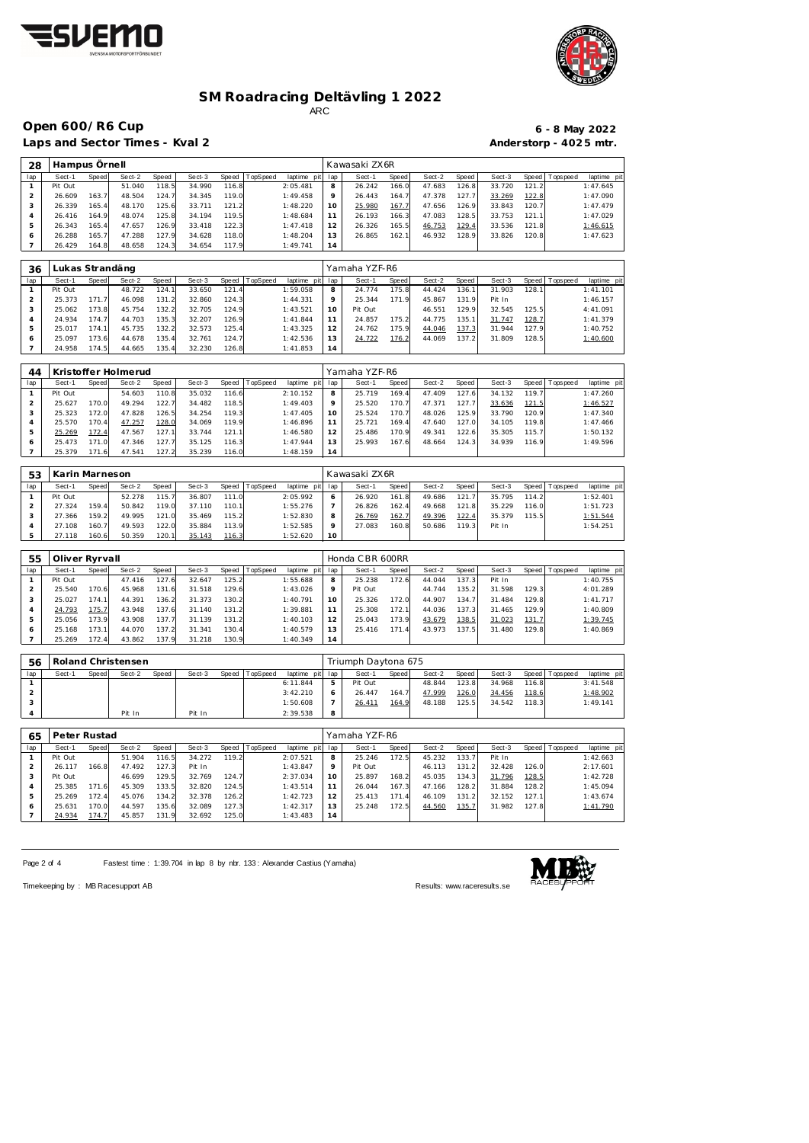



**Open 600/R6 Cup 6 - 8 May 2022**

Laps and Sector Times - Kval 2

| $6 - 8$ May 2022       |
|------------------------|
| Anderstorp - 4025 mtr. |

| 28  | Hampus Ornell |       |        |       |        |       |          |             |     | Kawasaki ZX6R |       |        |               |        |       |                |             |
|-----|---------------|-------|--------|-------|--------|-------|----------|-------------|-----|---------------|-------|--------|---------------|--------|-------|----------------|-------------|
| lap | Sect-1        | Speed | Sect-2 | Speed | Sect-3 | Speed | TopSpeed | laptime pit | lap | Sect-1        | Speed | Sect-2 | Speed         | Sect-3 |       | Speed Topspeed | laptime pit |
|     | Pit Out       |       | 51.040 | 118.5 | 34.990 | 116.8 |          | 2:05.481    | 8   | 26.242        | 166.0 | 47.683 | 126.8         | 33.720 | 121.2 |                | 1:47.645    |
|     | 26.609        | 163.7 | 48.504 | 124.7 | 34.345 | 119.0 |          | 1:49.458    | Q   | 26.443        | 164.7 | 47.378 | 127.7         | 33.269 | 122.8 |                | 1:47.090    |
| 3   | 26.339        | 165.4 | 48.170 | 125.6 | 33.711 | 121.2 |          | 1:48.220    | 10  | 25.980        | 167.7 | 47.656 | 126.9         | 33.843 | 120.7 |                | 1:47.479    |
|     | 26.416        | 164.9 | 48.074 | 125.8 | 34.194 | 119.5 |          | 1:48.684    |     | 26.193        | 166.3 | 47.083 | 128.5         | 33.753 | 121.1 |                | 1:47.029    |
| 5   | 26.343        | 165.4 | 47.657 | 126.9 | 33.418 | 122.3 |          | 1:47.418    | 12  | 26.326        | 165.5 | 46.753 | <u> 129.4</u> | 33.536 | 121.8 |                | 1:46.615    |
| Ô   | 26.288        | 165.7 | 47.288 | 127.9 | 34.628 | 118.0 |          | 1:48.204    | 13  | 26.865        | 162.1 | 46.932 | 128.9         | 33.826 | 120.8 |                | 1:47.623    |
|     | 26.429        | 164.8 | 48.658 | 124.3 | 34.654 | 117.9 |          | 1:49.741    | 14  |               |       |        |               |        |       |                |             |

| 36  |         |                    | Lukas Strandäng |       |        |       |          |                 |               | Yamaha YZF-R6 |       |        |       |        |       |                 |             |
|-----|---------|--------------------|-----------------|-------|--------|-------|----------|-----------------|---------------|---------------|-------|--------|-------|--------|-------|-----------------|-------------|
| lap | Sect-1  | Speed              | Sect-2          | Speed | Sect-3 | Speed | TopSpeed | laptime<br>pitl | lap           | Sect-1        | Speed | Sect-2 | Speed | Sect-3 |       | Speed Tops peed | laptime pit |
|     | Pit Out |                    | 48.722          | 124.7 | 33.650 | 121.4 |          | 1:59.058        | 8             | 24.774        | 175.8 | 44.424 | 136.1 | 31.903 | 128.1 |                 | 1: 41.101   |
|     | 25.373  | 171.7 <sub>1</sub> | 46.098          | 131.2 | 32.860 | 124.3 |          | 1:44.331        | Q             | 25.344        | 171.9 | 45.867 | 131.9 | Pit In |       |                 | 1:46.157    |
|     | 25.062  | 173.8              | 45.754          | 132.2 | 32.705 | 124.9 |          | 1:43.521        | 10            | Pit Out       |       | 46.551 | 129.9 | 32.545 | 125.5 |                 | 4:41.091    |
|     | 24.934  | 174.7              | 44.703          | 135.3 | 32.207 | 126.9 |          | 1:41.844        |               | 24.857        | 175.2 | 44.775 | 135.1 | 31.747 | 128.7 |                 | 1:41.379    |
|     | 25.017  | 174.1              | 45.735          | 132.2 | 32.573 | 125.4 |          | 1:43.325        | $\mathcal{P}$ | 24.762        | 175.9 | 44.046 | 137.3 | 31.944 | 127.9 |                 | 1:40.752    |
| 6   | 25.097  | 173.6              | 44.678          | 135.4 | 32.761 | 124.7 |          | 1:42.536        | 3             | 24.722        | 176.2 | 44.069 | 137.2 | 31.809 | 128.5 |                 | 1:40.600    |
|     | 24.958  | 174.5              | 44.665          | 135.4 | 32.230 | 126.8 |          | 1:41.853        | 14            |               |       |        |       |        |       |                 |             |

| 44  |         |            | Kristoffer Holmerud |       |        |       |                 |             |     | Yamaha YZF-R6 |       |            |       |        |       |                 |             |
|-----|---------|------------|---------------------|-------|--------|-------|-----------------|-------------|-----|---------------|-------|------------|-------|--------|-------|-----------------|-------------|
| lap | Sect-1  | Speed      | Sect-2              | Speed | Sect-3 | Speed | <b>TopSpeed</b> | laptime pit | lap | Sect-1        | Speed | Sect-2     | Speed | Sect-3 |       | Speed Tops peed | laptime pit |
|     | Pit Out |            | 54.603              | 110.8 | 35.032 | 116.6 |                 | 2:10.152    | 8   | 25.719        | 169.4 | .409<br>47 | 127.6 | 34.132 | 119.7 |                 | 1:47.260    |
|     | 25.627  | 170.0      | 49.294              | 122.7 | 34.482 | 118.5 |                 | 1:49.403    | Q   | 25.520        | 170.7 | 47.371     | 127.7 | 33.636 | 121.5 |                 | 1:46.527    |
|     | 25.323  | 172.0      | 47.828              | 126.5 | 34.254 | 119.3 |                 | 1:47.405    | 10  | 25.524        | 170.7 | 48.026     | 125.9 | 33.790 | 120.9 |                 | 1:47.340    |
|     | 25.570  | 170.4      | 47.257              | 128.0 | 34.069 | 119.9 |                 | 1:46.896    |     | 25.721        | 169.4 | 47.640     | 127.0 | 34.105 | 119.8 |                 | 1:47.466    |
|     | 25.269  | 172.4      | 47.567              | 127.1 | 33.744 | 121.1 |                 | 1:46.580    | 12  | 25.486        | 170.9 | 49.341     | 122.6 | 35.305 | 115.7 |                 | 1:50.132    |
| 6   | 25.473  | 171.0      | 47.346              | 127.7 | 35.125 | 116.3 |                 | 1:47.944    | 13  | 25.993        | 167.6 | 48.664     | 124.3 | 34.939 | 116.9 |                 | 1:49.596    |
|     | 25.379  | 171<br>.61 | 47.541              | 127.2 | 35.239 | 116.0 |                 | 1:48.159    | 14  |               |       |            |       |        |       |                 |             |

| 53  | Karin Marneson |       |        |       |        |       |          |          |         | Kawasaki ZX6R |              |        |       |        |       |                 |             |
|-----|----------------|-------|--------|-------|--------|-------|----------|----------|---------|---------------|--------------|--------|-------|--------|-------|-----------------|-------------|
| lap | Sect-1         | Speed | Sect-2 | Speed | Sect-3 | Speed | TopSpeed | laptime  | pit lap | Sect-1        | <b>Speed</b> | Sect-2 | Speed | Sect-3 |       | Speed Tops peed | laptime pit |
|     | Pit Out        |       | 52.278 | 115.7 | 36.807 | 111.0 |          | 2:05.992 | 6       | 26.920        | 161.8        | 49.686 | 121.7 | 35.795 | 114.2 |                 | 1:52.401    |
|     | 27.324         | 159.4 | 50.842 | 119.0 | 37.110 | 110.1 |          | 1:55.276 |         | 26.826        | 162.4        | 49.668 | 121.8 | 35.229 | 116.0 |                 | 1:51.723    |
|     | 27.366         | 159.2 | 49.995 | 121.0 | 35.469 | 115.2 |          | 1:52.830 | 8       | 26.769        | 162.7        | 49.396 | 122.4 | 35.379 | 115.5 |                 | 1:51.544    |
|     | 27.108         | 160.7 | 49.593 | 122.0 | 35.884 | 113.9 |          | 1:52.585 | $\circ$ | 27.083        | 160.8        | 50.686 | 119.3 | Pit In |       |                 | 1:54.251    |
|     | 27.118         | 160.6 | 50.359 | 120.7 | 35.143 | 116.3 |          | 1:52.620 | 10      |               |              |        |       |        |       |                 |             |

| 55  | Oliver Ryrvall |       |        |       |        |              |          |             | Honda CBR 600RR |         |                       |        |       |        |       |                 |             |  |
|-----|----------------|-------|--------|-------|--------|--------------|----------|-------------|-----------------|---------|-----------------------|--------|-------|--------|-------|-----------------|-------------|--|
| lap | Sect-1         | Speed | Sect-2 | Speed | Sect-3 | <b>Speed</b> | TopSpeed | laptime pit | lap             | Sect-1  | Speed                 | Sect-2 | Speed | Sect-3 |       | Speed Tops peed | laptime pit |  |
|     | Pit Out        |       | 47.416 | 127.6 | 32.647 | 125.2        |          | 1:55.688    | 8               | 25.238  | 172.6                 | 44.044 | 137.3 | Pit In |       |                 | 1:40.755    |  |
|     | 25.540         | 170.6 | 45.968 | 131.6 | 31.518 | 129.6        |          | 1:43.026    | $\circ$         | Pit Out |                       | 44.744 | 135.2 | 31.598 | 129.3 |                 | 4:01.289    |  |
| 3   | 25.027         | 174.1 | 44.391 | 136.2 | 31.373 | 130.2        |          | 1:40.791    | 10              | 25.326  | 172.0                 | 44.907 | 134.7 | 31.484 | 129.8 |                 | 1:41.717    |  |
| 4   | 24.793         | 175.7 | 43.948 | 137.6 | 31.140 | 131.2        |          | 1:39.881    | 11              | 25.308  | 172.1                 | 44.036 | 137.3 | 31.465 | 129.9 |                 | 1:40.809    |  |
| 5   | 25.056         | 173.9 | 43.908 | 137.7 | 31.139 | 131.2        |          | 1:40.103    | 12              | 25.043  | 173.9                 | 43.679 | 138.5 | 31.023 | 131.7 |                 | 1:39.745    |  |
| 6   | 25.168         | 173.1 | 44.070 | 137.2 | 31.341 | 130.4        |          | 1:40.579    | 13 <sub>1</sub> | 25.416  | 171<br>$\overline{A}$ | 43.973 | 137.5 | 31.480 | 129.8 |                 | 1:40.869    |  |
|     | 25.269         | 172.4 | 43.862 | 137.9 | 31.218 | 130.9        |          | 1:40.349    | 14              |         |                       |        |       |        |       |                 |             |  |

| 56  | Roland Christensen |       |        |       |        |       |          |                 |   | Triumph Daytona 675 |              |        |       |        |       |                 |             |  |  |
|-----|--------------------|-------|--------|-------|--------|-------|----------|-----------------|---|---------------------|--------------|--------|-------|--------|-------|-----------------|-------------|--|--|
| lap | Sect-1             | Speed | Sect-2 | Speed | Sect-3 | Speed | TopSpeed | laptime pit lap |   | Sect-1              | <b>Speed</b> | Sect-2 | Speed | Sect-3 |       | Speed Tops peed | laptime pit |  |  |
|     |                    |       |        |       |        |       |          | 6:11.844        |   | Pit Out             |              | 48.844 | 123.8 | 34.968 | 116.8 |                 | 3:41.548    |  |  |
|     |                    |       |        |       |        |       |          | 3:42.210        |   | 26.447              | 164.7        | 47.999 | 126.0 | 34.456 | 118.6 |                 | 1:48.902    |  |  |
|     |                    |       |        |       |        |       |          | 1:50.608        |   | 26.41               | 164.9        | 48.188 | 125.5 | 34.542 | 118.3 |                 | 1:49.141    |  |  |
|     |                    |       | Pit In |       | Pit In |       |          | 2:39.538        | 8 |                     |              |        |       |        |       |                 |             |  |  |

| 65  | Peter Rustad |       |        |       |        |       |                  |                 |    | Yamaha YZF-R6 |       |        |       |        |       |                   |             |  |  |
|-----|--------------|-------|--------|-------|--------|-------|------------------|-----------------|----|---------------|-------|--------|-------|--------|-------|-------------------|-------------|--|--|
| lap | Sect-1       | Speed | Sect-2 | Speed | Sect-3 |       | Speed   TopSpeed | laptime pit lap |    | Sect-1        | Speed | Sect-2 | Speed | Sect-3 |       | Speed   Tops peed | laptime pit |  |  |
|     | Pit Out      |       | 51.904 | 116.5 | 34.272 | 119.2 |                  | 2:07.521        | 8  | 25.246        | 172.5 | 45.232 | 133.7 | Pit In |       |                   | 1:42.663    |  |  |
|     | 26.117       | 166.8 | 47.492 | 127.3 | Pit In |       |                  | 1:43.847        | 9  | Pit Out       |       | 46.113 | 131.2 | 32.428 | 126.0 |                   | 2:17.601    |  |  |
|     | Pit Out      |       | 46.699 | 129.5 | 32.769 | 124.7 |                  | 2:37.034        | 10 | 25.897        | 168.2 | 45.035 | 134.3 | 31.796 | 128.5 |                   | 1:42.728    |  |  |
| 4   | 25.385       | 171.6 | 45.309 | 133.5 | 32.820 | 124.5 |                  | 1:43.514        |    | 26.044        | 167.3 | 47.166 | 128.2 | 31.884 | 128.2 |                   | 1:45.094    |  |  |
| 5   | 25.269       | 172.4 | 45.076 | 134.2 | 32.378 | 126.2 |                  | 1:42.723        | 12 | 25.413        | 171.4 | 46.109 | 131.2 | 32.152 | 127.1 |                   | 1:43.674    |  |  |
| 6   | 25.631       | 170.0 | 44.597 | 135.6 | 32.089 | 127.3 |                  | 1:42.317        | 13 | 25.248        | 172.5 | 44.560 | 135.7 | 31.982 | 127.8 |                   | 1:41.790    |  |  |
|     | 24.934       | 174.7 | 45.857 | 131.9 | 32.692 | 125.0 |                  | 1:43.483        | 14 |               |       |        |       |        |       |                   |             |  |  |

Page 2 of 4 Fastest time : 1:39.704 in lap 8 by nbr. 133 : Alexander Castius (Yamaha)



Timekeeping by : MB Racesupport AB Results:<www.raceresults.se>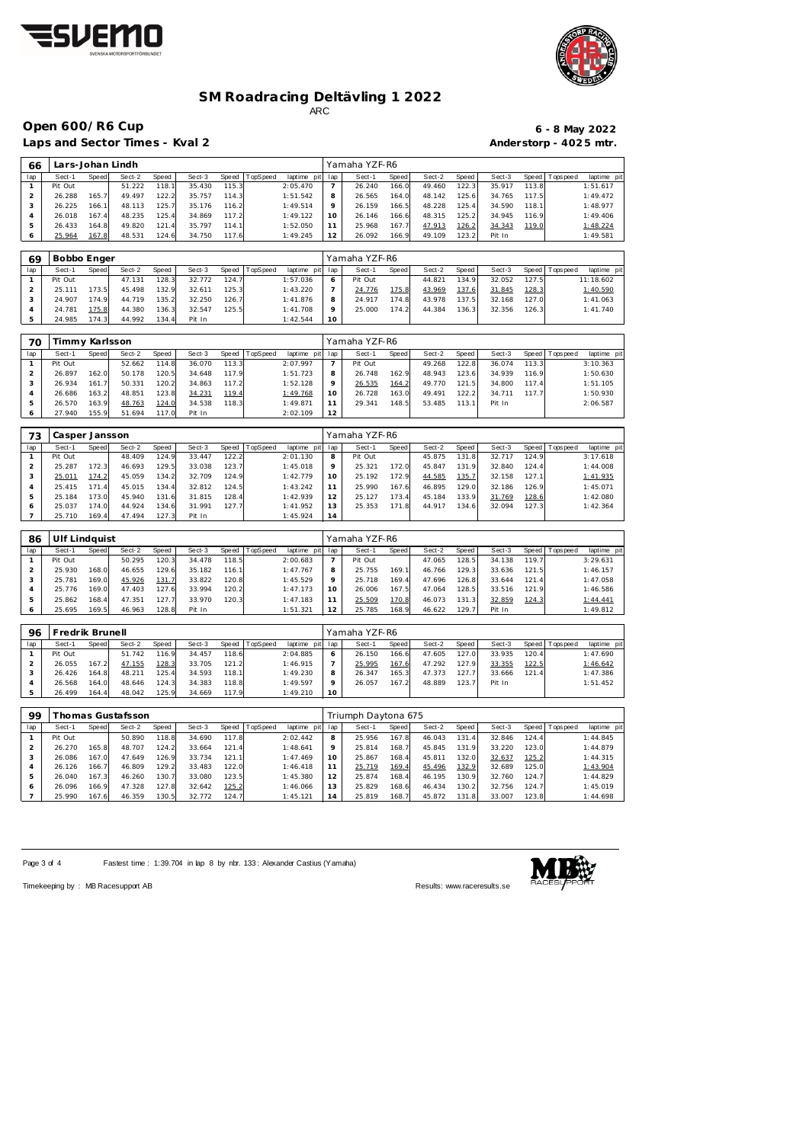



Laps and Sector Times - Kval 2 **Anderstorp - 4025 mtr.** 

# **Open 600/R6 Cup 6 - 8 May 2022**

| 66             | Lars-Johan Lindh |       |                   |       |        |       |          |                                |                          | Yamaha YZF-R6              |       |          |       |          |       |             |                            |  |  |
|----------------|------------------|-------|-------------------|-------|--------|-------|----------|--------------------------------|--------------------------|----------------------------|-------|----------|-------|----------|-------|-------------|----------------------------|--|--|
| lap            | Sect-1           | Speed | Sect-2            | Speed | Sect-3 | Speed | TopSpeed | laptime pit                    | lap                      | Sect-1                     | Speed | Sect-2   | Speed | Sect-3   | Speed | Tops pee d  | laptime pit                |  |  |
| $\mathbf{1}$   | Pit Out          |       | 51.222            | 118.1 | 35.430 | 115.3 |          | 2:05.470                       | $\overline{\phantom{a}}$ | 26.240                     | 166.0 | 49.460   | 122.3 | 35.917   | 113.8 |             | 1:51.617                   |  |  |
| $\overline{2}$ | 26.288           | 165.7 | 49.497            | 122.2 | 35.757 | 114.3 |          | 1:51.542                       | 8                        | 26.565                     | 164.0 | 48.142   | 125.6 | 34.765   | 117.5 |             | 1:49.472                   |  |  |
| 3              | 26.225           | 166.1 | 48.113            | 125.7 | 35.176 | 116.2 |          | 1:49.514                       | 9                        | 26.159                     | 166.5 | 48.228   | 125.4 | 34.590   | 118.1 |             | 1:48.977                   |  |  |
| $\overline{4}$ | 26.018           | 167.4 | 48.235            | 125.4 | 34.869 | 117.2 |          | 1:49.122                       | 10                       | 26.146                     | 166.6 | 48.315   | 125.2 | 34.945   | 116.9 |             | 1:49.406                   |  |  |
| 5              | 26.433           | 164.8 | 49.820            | 121.4 | 35.797 | 114.1 |          | 1:52.050                       | 11                       | 25.968                     | 167.7 | 47.913   | 126.2 | 34.343   | 119.0 |             | 1:48.224                   |  |  |
| 6              | 25.964           | 167.8 | 48.531            | 124.6 | 34.750 | 117.6 |          | 1:49.245                       | 12                       | 26.092                     | 166.9 | 49.109   | 123.2 | Pit In   |       |             | 1:49.581                   |  |  |
|                |                  |       |                   |       |        |       |          |                                |                          |                            |       |          |       |          |       |             |                            |  |  |
| 69             | Bobbo Enger      |       |                   |       |        |       |          |                                | Yamaha YZF-R6            |                            |       |          |       |          |       |             |                            |  |  |
| ap             | Sect-1           | Speed | Sect-2            | Speed | Sect-3 | Speed | TopSpeed | laptime pit                    | lap                      | Sect-1                     | Speed | Sect-2   | Speed | Sect-3   | Speed | Tops pee d  | laptime pit                |  |  |
| $\mathbf{1}$   | Pit Out          |       | 47.131            | 128.3 | 32.772 | 124.7 |          | 1:57.036                       | 6                        | Pit Out                    |       | 44.821   | 134.9 | 32.052   | 127.5 |             | 11:18.602                  |  |  |
| $\sqrt{2}$     | 25.111           | 173.5 | 45.498            | 132.9 | 32.611 | 125.3 |          | 1:43.220                       | 7                        | 24.776                     | 175.8 | 43.969   | 137.6 | 31.845   | 128.3 |             | 1:40.590                   |  |  |
| 3              | 24.907           | 174.9 | 44.719            | 135.2 | 32.250 | 126.7 |          | 1:41.876                       | 8                        | 24.917                     | 174.8 | 43.978   | 137.5 | 32.168   | 127.0 |             | 1:41.063                   |  |  |
| $\overline{4}$ | 24.781           | 175.8 | 44.380            | 136.3 | 32.547 | 125.5 |          | 1:41.708                       | 9                        | 25.000                     | 174.2 | 44.384   | 136.3 | 32.356   | 126.3 |             | 1:41.740                   |  |  |
| 5              | 24.985           | 174.3 | 44.992            | 134.4 | Pit In |       |          | 1:42.544                       | 10                       |                            |       |          |       |          |       |             |                            |  |  |
|                |                  |       |                   |       |        |       |          |                                |                          |                            |       |          |       |          |       |             |                            |  |  |
| 70             | Timmy Karlsson   |       |                   |       |        |       |          |                                |                          | Yamaha YZF-R6              |       |          |       |          |       |             |                            |  |  |
| lap            | Sect-1           | Speed | Sect-2            | Speed | Sect-3 | Speed | TopSpeed | laptime pit                    | lap                      | Sect-1                     | Speed | Sect-2   | Speed | Sect-3   | Speed | T ops pee d | laptime pit                |  |  |
| $\mathbf{1}$   | Pit Out          |       | 52.662            | 114.8 | 36.070 | 113.3 |          | 2:07.997                       | $\overline{7}$           | Pit Out                    |       | 49.268   | 122.8 | 36.074   | 113.3 |             | 3:10.363                   |  |  |
| $\overline{c}$ | 26.897           | 162.0 | 50.178            | 120.5 | 34.648 | 117.9 |          | 1:51.723                       | 8                        | 26.748                     | 162.9 | 48.943   | 123.6 | 34.939   | 116.9 |             | 1:50.630                   |  |  |
| $\sqrt{3}$     | 26.934           | 161.7 | 50.331            | 120.2 | 34.863 | 117.2 |          | 1:52.128                       | 9                        | 26.535                     | 164.2 | 49.770   | 121.5 | 34.800   | 117.4 |             | 1:51.105                   |  |  |
| $\overline{4}$ | 26.686           | 163.2 | 48.851            | 123.8 | 34.231 | 119.4 |          | 1:49.768                       | 10                       | 26.728                     | 163.0 | 49.491   | 122.2 | 34.711   | 117.7 |             | 1:50.930                   |  |  |
| 5              | 26.570           | 163.9 | 48.763            | 124.0 | 34.538 | 118.3 |          | 1:49.871                       | 11                       | 29.341                     | 148.5 | 53.485   | 113.1 | Pit In   |       |             | 2:06.587                   |  |  |
| 6              | 27.940           | 155.9 | 51.694            | 117.0 | Pit In |       |          | 2:02.109                       | 12                       |                            |       |          |       |          |       |             |                            |  |  |
|                |                  |       |                   |       |        |       |          |                                |                          |                            |       |          |       |          |       |             |                            |  |  |
| 73             | Casper Jansson   |       |                   |       |        |       |          |                                |                          | Yamaha YZF-R6              |       |          |       |          |       |             |                            |  |  |
| lap            | Sect-1           | Speed | Sect-2            | Speed | Sect-3 | Speed | TopSpeed | laptime pit                    | lap                      | Sect-1                     | Speed | Sect-2   | Speed | Sect-3   | Speed | Tops pee d  | laptime pit                |  |  |
| $\mathbf{1}$   | Pit Out          |       | 48.409            | 124.9 | 33.447 | 122.2 |          | 2:01.130                       | 8                        | Pit Out                    |       | 45.875   | 131.8 | 32.717   | 124.9 |             | 3:17.618                   |  |  |
| $\mathbf 2$    | 25.287           | 172.3 | 46.693            | 129.5 | 33.038 | 123.7 |          | 1:45.018                       | 9                        | 25.321                     | 172.0 | 45.847   | 131.9 | 32.840   | 124.4 |             | 1:44.008                   |  |  |
| 3              | 25.011           | 174.2 | 45.059            | 134.2 | 32.709 | 124.9 |          | 1:42.779                       | 10                       | 25.192                     | 172.9 | 44.585   | 135.7 | 32.158   | 127.1 |             | 1:41.935                   |  |  |
| $\sqrt{4}$     | 25.415           | 171.4 | 45.015            | 134.4 | 32.812 | 124.5 |          | 1:43.242                       | 11                       | 25.990                     | 167.6 | 46.895   | 129.0 | 32.186   | 126.9 |             | 1:45.071                   |  |  |
| 5              | 25.184           | 173.0 | 45.940            | 131.6 | 31.815 | 128.4 |          | 1:42.939                       | 12                       | 25.127                     | 173.4 | 45.184   | 133.9 | 31.769   | 128.6 |             | 1:42.080                   |  |  |
| 6              | 25.037           | 174.0 | 44.924            | 134.6 | 31.991 | 127.7 |          | 1:41.952                       | 13                       | 25.353                     | 171.8 | 44.917   | 134.6 | 32.094   | 127.3 |             | 1:42.364                   |  |  |
| $\overline{7}$ | 25.710           | 169.4 | 47.494            | 127.3 | Pit In |       |          | 1:45.924                       | 14                       |                            |       |          |       |          |       |             |                            |  |  |
|                |                  |       |                   |       |        |       |          |                                |                          |                            |       |          |       |          |       |             |                            |  |  |
| 86             | Ulf Lindquist    |       |                   |       |        |       |          |                                |                          | Yamaha YZF-R6              |       |          |       |          |       |             |                            |  |  |
| ap             | Sect-1           | Speed | Sect-2            | Speed | Sect-3 | Speed | TopSpeed | laptime pit                    | lap                      | Sect-1                     | Speed | Sect-2   | Speed | Sect-3   | Speed | T ops pee d | laptime pit                |  |  |
| $\mathbf{1}$   | Pit Out          |       | 50.295            | 120.3 | 34.478 | 118.5 |          | 2:00.683                       | 7                        | Pit Out                    |       | 47.065   | 128.5 | 34.138   | 119.7 |             | 3:29.631                   |  |  |
| $\overline{c}$ | 25.930           | 168.0 | 46.655            | 129.6 | 35.182 | 116.1 |          | 1:47.767                       | 8                        | 25.755                     | 169.1 | 46.766   | 129.3 | 33.636   | 121.5 |             | 1:46.157                   |  |  |
| 3              | 25.781           | 169.0 | 45.926            | 131.7 | 33.822 | 120.8 |          | 1:45.529                       | 9                        | 25.718                     | 169.4 | 47.696   | 126.8 | 33.644   | 121.4 |             | 1:47.058                   |  |  |
| $\overline{4}$ | 25.776           | 169.0 | 47.403            | 127.6 | 33.994 | 120.2 |          | 1:47.173                       | 10                       | 26.006                     | 167.5 | 47.064   | 128.5 | 33.516   | 121.9 |             | 1:46.586                   |  |  |
| 5              | 25.862           | 168.4 | 47.351            | 127.7 | 33.970 | 120.3 |          | 1:47.183                       | 11                       | 25.509                     | 170.8 | 46.073   | 131.3 | 32.859   | 124.3 |             | 1:44.441                   |  |  |
| 6              | 25.695           | 169.5 | 46.963            | 128.8 | Pit In |       |          | 1:51.321                       | 12                       | 25.785                     | 168.9 | 46.622   | 129.7 | Pit In   |       |             | 1:49.812                   |  |  |
|                |                  |       |                   |       |        |       |          |                                |                          |                            |       |          |       |          |       |             |                            |  |  |
| 96             | Fredrik Brunell  |       |                   |       |        |       |          |                                |                          | Yamaha YZF-R6              |       |          |       |          |       |             |                            |  |  |
| ap             | Sect-1           | Speed | Sect-2            | Speed | Sect-3 |       |          | Speed TopSpeed laptime pit lap |                          | $\overline{\text{Sect-1}}$ | Speed | $Sect-2$ | Speed | $Sect-3$ |       |             | Speed Topspeed laptime pit |  |  |
| $\mathbf{1}$   | Pit Out          |       | 51.742            | 116.9 | 34.457 | 118.6 |          | 2:04.885                       | 6                        | 26.150                     | 166.6 | 47.605   | 127.0 | 33.935   | 120.4 |             | 1:47.690                   |  |  |
| $\overline{2}$ | 26.055           | 167.2 | 47.155            | 128.3 | 33.705 | 121.2 |          | 1:46.915                       | 7                        | 25.995                     | 167.6 | 47.292   | 127.9 | 33.355   | 122.5 |             | 1:46.642                   |  |  |
| 3              | 26.426           | 164.8 | 48.211            | 125.4 | 34.593 | 118.1 |          | 1:49.230                       | 8                        | 26.347                     | 165.3 | 47.373   | 127.7 | 33.666   | 121.4 |             | 1:47.386                   |  |  |
| $\overline{4}$ | 26.568           | 164.0 | 48.646            | 124.3 | 34.383 | 118.8 |          | 1:49.597                       | 9                        | 26.057                     | 167.2 | 48.889   | 123.7 | Pit In   |       |             | 1:51.452                   |  |  |
| 5              | 26.499           | 164.4 | 48.042            | 125.9 | 34.669 | 117.9 |          | 1:49.210                       | 10                       |                            |       |          |       |          |       |             |                            |  |  |
|                |                  |       |                   |       |        |       |          |                                |                          |                            |       |          |       |          |       |             |                            |  |  |
| 99             |                  |       | Thomas Gustafsson |       |        |       |          |                                |                          | Triumph Daytona 675        |       |          |       |          |       |             |                            |  |  |
| lap            | Sect-1           | Speed | Sect-2            | Speed | Sect-3 | Speed | TopSpeed | laptime pit                    | lap                      | Sect-1                     | Speed | Sect-2   | Speed | Sect-3   | Speed | Tops pee d  | laptime pit                |  |  |
|                | Pit Out          |       | 50.890            | 118.8 | 34 690 | 1178  |          | 2.02442                        | 8                        | 25.956                     | 167 8 | 46.043   | 1314  | 32846    | 1244  |             | 1.44.845                   |  |  |

| ッッ  |         |       | nomas Gustaisson |       |        |       |          |                 | iriumph Daytona 675 |        |       |        |       |        |           |           |            |  |
|-----|---------|-------|------------------|-------|--------|-------|----------|-----------------|---------------------|--------|-------|--------|-------|--------|-----------|-----------|------------|--|
| lap | Sect-1  | Speed | Sect-2           | Speed | Sect-3 | Speed | TopSpeed | laptime<br>pitl | lap                 | Sect-1 | Speed | Sect-2 | Speed | Sect-3 | Speed   T | Tops peed | laptime pi |  |
|     | Pit Out |       | 50.890           | 118.8 | 34.690 | 117.8 |          | 2:02.442        |                     | 25.956 | 167.8 | 46.043 | 131.4 | 32.846 | 124.4     |           | 1:44.845   |  |
|     | 26.270  | 165.8 | 48.707           | 124.2 | 33.664 | 121.4 |          | 1:48.641        | o                   | 25.814 | 168.7 | 45.845 | 131.9 | 33.220 | 123.0     |           | 1:44.879   |  |
| 3   | 26.086  | 167.0 | 47.649           | 126.9 | 33.734 | 121.1 |          | 1:47.469        | 10.                 | 25.867 | 168.4 | 45.811 | 132.0 | 32.637 | 125.2     |           | 1:44.315   |  |
|     | 26.126  | 166.7 | 46.809           | 129.2 | 33.483 | 122.0 |          | 1:46.418        |                     | 25.719 | 169.4 | 45.496 | 132.9 | 32.689 | 125.0     |           | 1:43.904   |  |
|     | 26.040  | 167.3 | 46.260           | 130.7 | 33.080 | 123.5 |          | 1:45.380        |                     | 25.874 | 168.4 | 46.195 | 130.9 | 32.760 | 124.7     |           | 1:44.829   |  |
| 6   | 26.096  | 166.9 | 47.328           | 127.8 | 32.642 | 125.2 |          | 1:46.066        |                     | 25.829 | 168.6 | 46.434 | 130.2 | 32.756 | 124.7     |           | 1:45.019   |  |
|     | 25.990  | 167.6 | 46.359           | 130.5 | 32.772 | 124.7 |          | 1:45.121        | 4                   | 25.819 | 168.7 | 45.872 | 131.8 | 33.007 | 123.8     |           | 1:44.698   |  |

Page 3 of 4 Fastest time : 1:39.704 in lap 8 by nbr. 133 : Alexander Castius (Yamaha)